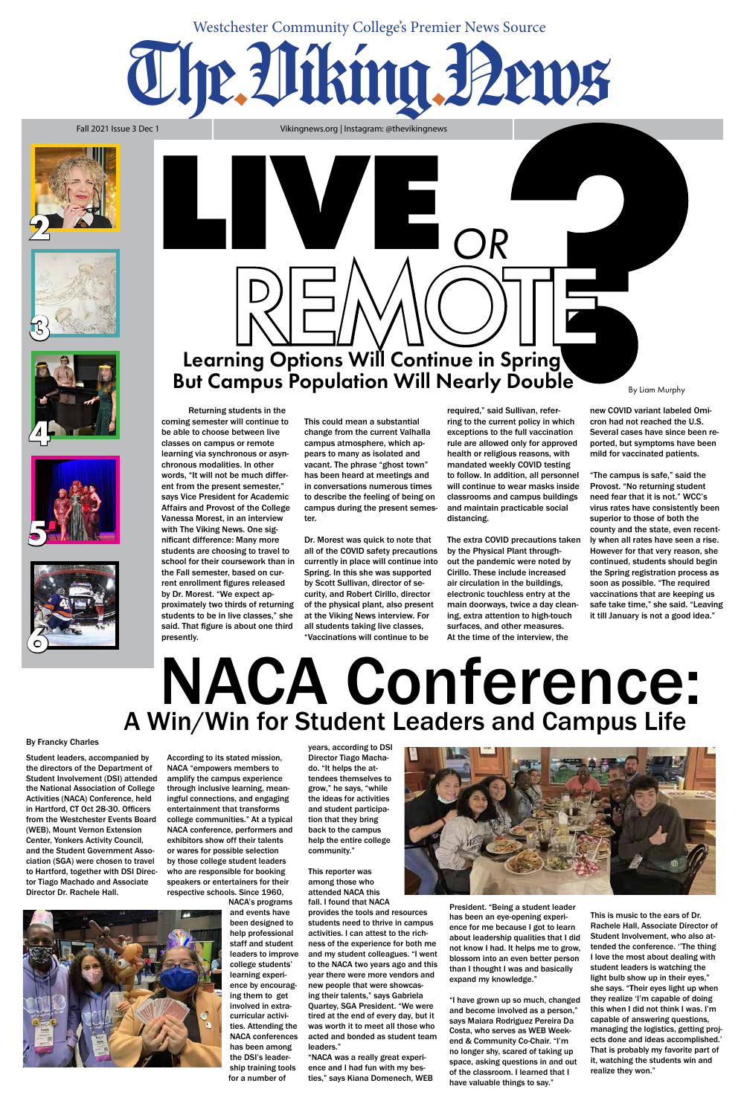Fall 2021 Issue 3 Dec 1

## The.Viking.News

#### Westchester Community College's Premier News Source

Vikingnews.org | Instagram: @thevikingnews

## NACA Conference: A Win/Win for Student Leaders and Campus Life

Student leaders, accompanied by the directors of the Department of Student Involvement (DSI) attended the National Association of College Activities (NACA) Conference, held in Hartford, CT Oct 28-30. Officers from the Westchester Events Board (WEB), Mount Vernon Extension Center, Yonkers Activity Council, and the Student Government Association (SGA) were chosen to travel to Hartford, together with DSI Director Tiago Machado and Associate Director Dr. Rachele Hall.



According to its stated mission, NACA "empowers members to amplify the campus experience through inclusive learning, meaningful connections, and engaging entertainment that transforms college communities." At a typical NACA conference, performers and exhibitors show off their talents or wares for possible selection by those college student leaders who are responsible for booking speakers or entertainers for their respective schools. Since 1960,

> NACA's programs and events have been designed to help professional staff and student leaders to improve college students' learning experience by encouraging them to get involved in extracurricular activities. Attending the NACA conferences has been among the DSI's leadership training tools for a number of

years, according to DSI Director Tiago Machado. "It helps the attendees themselves to grow," he says, "while the ideas for activities and student participation that they bring back to the campus help the entire college community."

#### This reporter was among those who attended NACA this fall. I found that NACA provides the tools and resources students need to thrive in campus activities. I can attest to the richness of the experience for both me and my student colleagues. "I went to the NACA two years ago and this year there were more vendors and new people that were showcasing their talents," says Gabriela Quartey, SGA President. "We were tired at the end of every day, but it was worth it to meet all those who acted and bonded as student team leaders."

"NACA was a really great experience and I had fun with my besties," says Kiana Domenech, WEB



President. "Being a student leader has been an eye-opening experience for me because I got to learn about leadership qualities that I did not know I had. It helps me to grow, blossom into an even better person than I thought I was and basically expand my knowledge."

"I have grown up so much, changed and become involved as a person," says Maiara Rodriguez Pereira Da Costa, who serves as WEB Weekend & Community Co-Chair. "I'm no longer shy, scared of taking up space, asking questions in and out of the classroom. I learned that I have valuable things to say."

This is music to the ears of Dr. Rachele Hall, Associate Director of Student Involvement, who also attended the conference. ''The thing I love the most about dealing with student leaders is watching the light bulb show up in their eyes," she says. "Their eyes light up when they realize 'I'm capable of doing this when I did not think I was. I'm capable of answering questions, managing the logistics, getting projects done and ideas accomplished.' That is probably my favorite part of it, watching the students win and realize they won."

#### By Francky Charles











## REMOTE But Campus Population Will Nearly Double **By Liam Murphy**

Returning students in the

coming semester will continue to be able to choose between live classes on campus or remote learning via synchronous or asynchronous modalities. In other words, "It will not be much different from the present semester," says Vice President for Academic Affairs and Provost of the College Vanessa Morest, in an interview with The Viking News. One significant difference: Many more students are choosing to travel to school for their coursework than in the Fall semester, based on current enrollment figures released by Dr. Morest. "We expect approximately two thirds of returning students to be in live classes," she said. That figure is about one third presently.

This could mean a substantial change from the current Valhalla campus atmosphere, which appears to many as isolated and vacant. The phrase "ghost town" has been heard at meetings and in conversations numerous times to describe the feeling of being on campus during the present semester.

Dr. Morest was quick to note that all of the COVID safety precautions currently in place will continue into Spring. In this she was supported by Scott Sullivan, director of security, and Robert Cirillo, director of the physical plant, also present at the Viking News interview. For all students taking live classes, "Vaccinations will continue to be

required," said Sullivan, referring to the current policy in which exceptions to the full vaccination rule are allowed only for approved health or religious reasons, with mandated weekly COVID testing to follow. In addition, all personnel will continue to wear masks inside classrooms and campus buildings and maintain practicable social distancing.

The extra COVID precautions taken by the Physical Plant throughout the pandemic were noted by Cirillo. These include increased air circulation in the buildings, electronic touchless entry at the main doorways, twice a day cleaning, extra attention to high-touch surfaces, and other measures. At the time of the interview, the

new COVID variant labeled Omicron had not reached the U.S. Several cases have since been reported, but symptoms have been mild for vaccinated patients.

"The campus is safe," said the Provost. "No returning student need fear that it is not." WCC's virus rates have consistently been superior to those of both the county and the state, even recently when all rates have seen a rise. However for that very reason, she continued, students should begin the Spring registration process as soon as possible. "The required vaccinations that are keeping us safe take time," she said. "Leaving it till January is not a good idea."

**LIVE** *OR*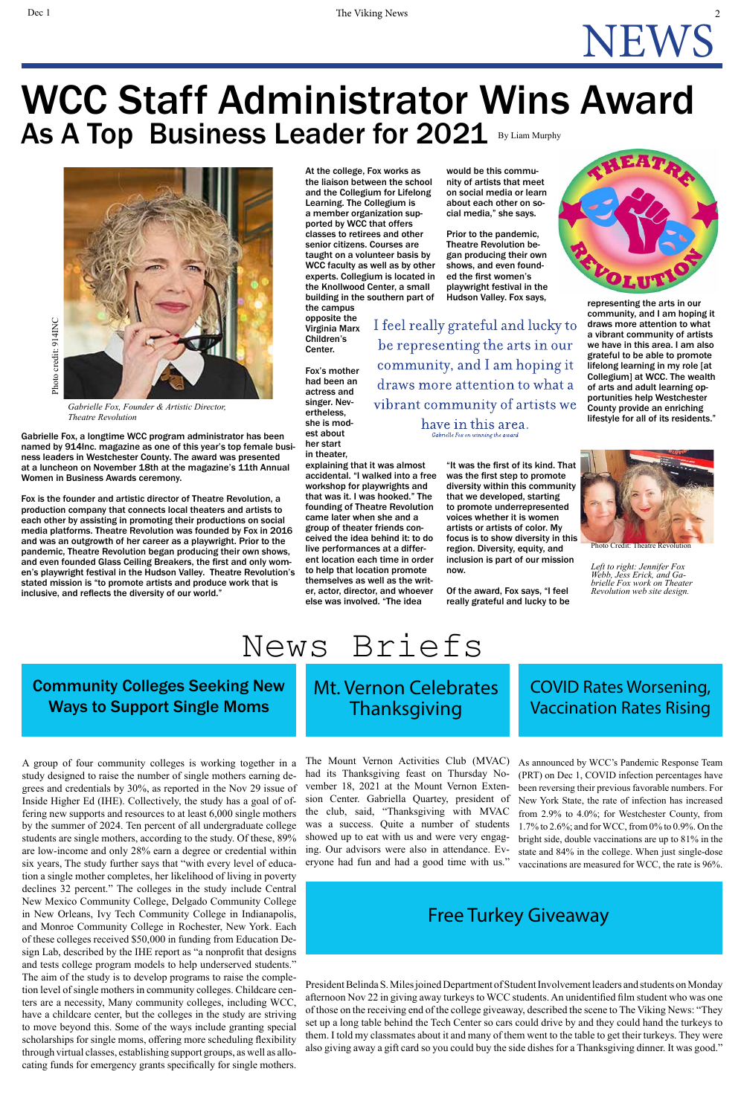## News Briefs

#### Mt. Vernon Celebrates Thanksgiving

As announced by WCC's Pandemic Response Team (PRT) on Dec 1, COVID infection percentages have been reversing their previous favorable numbers. For New York State, the rate of infection has increased from 2.9% to 4.0%; for Westchester County, from 1.7% to 2.6%; and for WCC, from 0% to 0.9%. On the bright side, double vaccinations are up to 81% in the state and 84% in the college. When just single-dose vaccinations are measured for WCC, the rate is 96%.

The Mount Vernon Activities Club (MVAC) had its Thanksgiving feast on Thursday November 18, 2021 at the Mount Vernon Extension Center. Gabriella Quartey, president of the club, said, "Thanksgiving with MVAC was a success. Quite a number of students showed up to eat with us and were very engaging. Our advisors were also in attendance. Everyone had fun and had a good time with us."

President Belinda S. Miles joined Department of Student Involvement leaders and students on Monday afternoon Nov 22 in giving away turkeys to WCC students. An unidentified film student who was one of those on the receiving end of the college giveaway, described the scene to The Viking News: "They set up a long table behind the Tech Center so cars could drive by and they could hand the turkeys to them. I told my classmates about it and many of them went to the table to get their turkeys. They were also giving away a gift card so you could buy the side dishes for a Thanksgiving dinner. It was good."

NEWS

At the college, Fox works as the liaison between the school and the Collegium for Lifelong Learning. The Collegium is a member organization supported by WCC that offers classes to retirees and other senior citizens. Courses are taught on a volunteer basis by WCC faculty as well as by other experts. Collegium is located in the Knollwood Center, a small building in the southern part of

the campus opposite the Virginia Marx Children's Center.

Fox's mother had been an actress and singer. Nevertheless, she is modest about her start in theater,

explaining that it was almost accidental. "I walked into a free workshop for playwrights and that was it. I was hooked." The founding of Theatre Revolution came later when she and a group of theater friends conceived the idea behind it: to do live performances at a different location each time in order to help that location promote themselves as well as the writer, actor, director, and whoever else was involved. "The idea

would be this community of artists that meet on social media or learn about each other on social media," she says.

Prior to the pandemic, Theatre Revolution began producing their own shows, and even founded the first women's playwright festival in the Hudson Valley. Fox says,

I feel really grateful and lucky to be representing the arts in our community, and I am hoping it draws more attention to what a vibrant community of artists we have in this area.

Gabrielle For on winning the award

"It was the first of its kind. That was the first step to promote diversity within this community that we developed, starting to promote underrepresented voices whether it is women artists or artists of color. My focus is to show diversity in this region. Diversity, equity, and inclusion is part of our mission now.

Of the award, Fox says, "I feel really grateful and lucky to be



#### WCC Staff Administrator Wins Award As A Top Business Leader for 2021 By Liam Murphy

representing the arts in our community, and I am hoping it draws more attention to what a vibrant community of artists we have in this area. I am also grateful to be able to promote lifelong learning in my role [at Collegium] at WCC. The wealth of arts and adult learning opportunities help Westchester County provide an enriching lifestyle for all of its residents."



Photo Credit: Theatre Revolution



*Gabrielle Fox, Founder & Artistic Director, Theatre Revolution*

Gabrielle Fox, a longtime WCC program administrator has been named by 914Inc. magazine as one of this year's top female business leaders in Westchester County. The award was presented at a luncheon on November 18th at the magazine's 11th Annual Women in Business Awards ceremony.

Fox is the founder and artistic director of Theatre Revolution, a production company that connects local theaters and artists to each other by assisting in promoting their productions on social media platforms. Theatre Revolution was founded by Fox in 2016 and was an outgrowth of her career as a playwright. Prior to the pandemic, Theatre Revolution began producing their own shows, and even founded Glass Ceiling Breakers, the first and only women's playwright festival in the Hudson Valley. Theatre Revolution's stated mission is "to promote artists and produce work that is inclusive, and reflects the diversity of our world."

*Left to right: Jennifer Fox brielle Fox work on Theater Revolution web site design.*

A group of four community colleges is working together in a study designed to raise the number of single mothers earning degrees and credentials by 30%, as reported in the Nov 29 issue of Inside Higher Ed (IHE). Collectively, the study has a goal of offering new supports and resources to at least 6,000 single mothers by the summer of 2024. Ten percent of all undergraduate college students are single mothers, according to the study. Of these, 89% are low-income and only 28% earn a degree or credential within six years, The study further says that "with every level of education a single mother completes, her likelihood of living in poverty declines 32 percent." The colleges in the study include Central New Mexico Community College, Delgado Community College in New Orleans, Ivy Tech Community College in Indianapolis, and Monroe Community College in Rochester, New York. Each of these colleges received \$50,000 in funding from Education Design Lab, described by the IHE report as "a nonprofit that designs and tests college program models to help underserved students." The aim of the study is to develop programs to raise the completion level of single mothers in community colleges. Childcare centers are a necessity, Many community colleges, including WCC, have a childcare center, but the colleges in the study are striving to move beyond this. Some of the ways include granting special scholarships for single moms, offering more scheduling flexibility through virtual classes, establishing support groups, as well as allocating funds for emergency grants specifically for single mothers.

#### Community Colleges Seeking New Ways to Support Single Moms

#### COVID Rates Worsening, Vaccination Rates Rising

#### Free Turkey Giveaway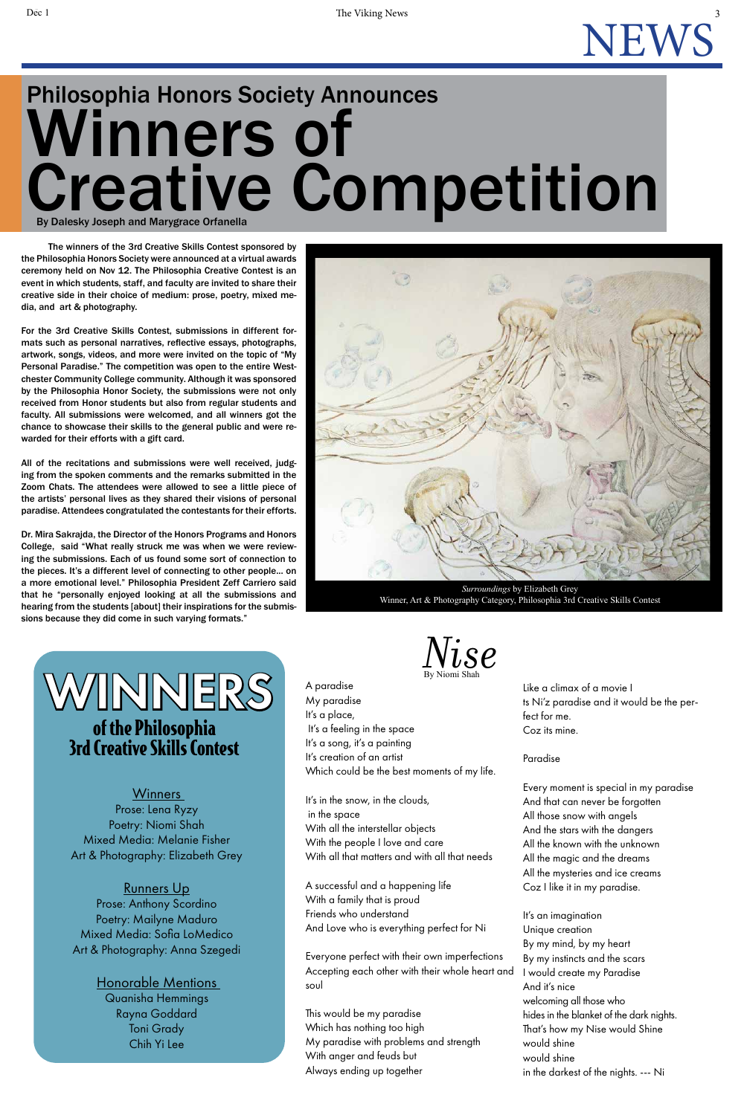### November 1 The Viking News 3 NEWS

The winners of the 3rd Creative Skills Contest sponsored by the Philosophia Honors Society were announced at a virtual awards ceremony held on Nov 12. The Philosophia Creative Contest is an event in which students, staff, and faculty are invited to share their creative side in their choice of medium: prose, poetry, mixed media, and art & photography.

For the 3rd Creative Skills Contest, submissions in different formats such as personal narratives, reflective essays, photographs, artwork, songs, videos, and more were invited on the topic of "My Personal Paradise." The competition was open to the entire Westchester Community College community. Although it was sponsored by the Philosophia Honor Society, the submissions were not only received from Honor students but also from regular students and faculty. All submissions were welcomed, and all winners got the chance to showcase their skills to the general public and were rewarded for their efforts with a gift card.

All of the recitations and submissions were well received, judging from the spoken comments and the remarks submitted in the Zoom Chats. The attendees were allowed to see a little piece of the artists' personal lives as they shared their visions of personal paradise. Attendees congratulated the contestants for their efforts.

Dr. Mira Sakrajda, the Director of the Honors Programs and Honors College, said "What really struck me was when we were reviewing the submissions. Each of us found some sort of connection to the pieces. It's a different level of connecting to other people... on a more emotional level." Philosophia President Zeff Carriero said that he "personally enjoyed looking at all the submissions and hearing from the students [about] their inspirations for the submissions because they did come in such varying formats."

## Philosophia Honors Society Announces Winners of Creative Competition By Dalesky Joseph and Marygrace Orfanella

#### **Winners** Prose: Lena Ryzy Poetry: Niomi Shah Mixed Media: Melanie Fisher Art & Photography: Elizabeth Grey

#### **Runners Up** Prose: Anthony Scordino Poetry: Mailyne Maduro Mixed Media: Sofia LoMedico Art & Photography: Anna Szegedi

#### A paradise My paradise It's a place, It's a feeling in the space It's a song, it's a painting It's creation of an artist Which could be the best moments of my life.

It's in the snow, in the clouds, in the space With all the interstellar objects With the people I love and care With all that matters and with all that needs

A successful and a happening life With a family that is proud Friends who understand And Love who is everything perfect for Ni

Everyone perfect with their own imperfections Accepting each other with their whole heart and soul

This would be my paradise Which has nothing too high My paradise with problems and strength With anger and feuds but Always ending up together

Like a climax of a movie I ts Ni'z paradise and it would be the perfect for me. Coz its mine.

#### Paradise

Every moment is special in my paradise And that can never be forgotten All those snow with angels And the stars with the dangers All the known with the unknown All the magic and the dreams All the mysteries and ice creams Coz I like it in my paradise.

It's an imagination Unique creation By my mind, by my heart By my instincts and the scars I would create my Paradise And it's nice welcoming all those who hides in the blanket of the dark nights. That's how my Nise would Shine would shine would shine in the darkest of the nights. --- Ni





*Surroundings* by Elizabeth Grey Winner, Art & Photography Category, Philosophia 3rd Creative Skills Contest

## WINNERS of the Philosophia 3rd Creative Skills Contest

Honorable Mentions Quanisha Hemmings Rayna Goddard Toni Grady Chih Yi Lee

By Niomi Shah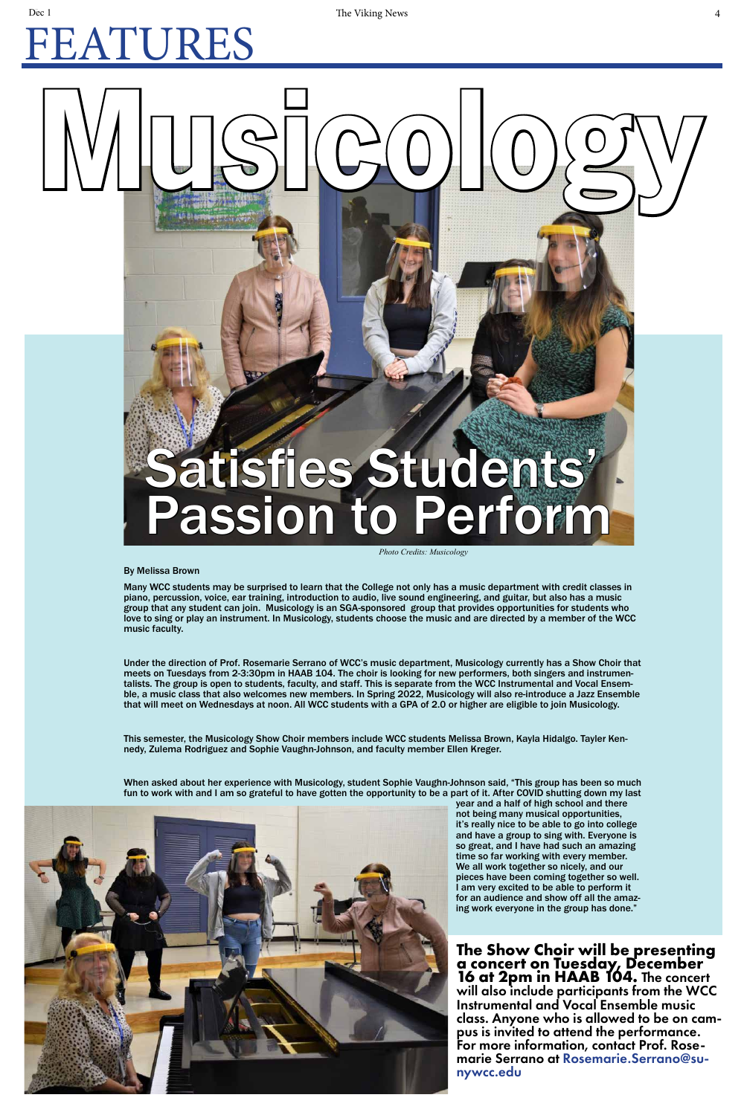### november 1 The Viking News 4 The Viking News 4 The Viking News 4  $\frac{4}{3}$ FEATURES

Many WCC students may be surprised to learn that the College not only has a music department with credit classes in piano, percussion, voice, ear training, introduction to audio, live sound engineering, and guitar, but also has a music group that any student can join. Musicology is an SGA-sponsored group that provides opportunities for students who love to sing or play an instrument. In Musicology, students choose the music and are directed by a member of the WCC music faculty.

Under the direction of Prof. Rosemarie Serrano of WCC's music department, Musicology currently has a Show Choir that meets on Tuesdays from 2-3:30pm in HAAB 104. The choir is looking for new performers, both singers and instrumentalists. The group is open to students, faculty, and staff. This is separate from the WCC Instrumental and Vocal Ensemble, a music class that also welcomes new members. In Spring 2022, Musicology will also re-introduce a Jazz Ensemble that will meet on Wednesdays at noon. All WCC students with a GPA of 2.0 or higher are eligible to join Musicology.

This semester, the Musicology Show Choir members include WCC students Melissa Brown, Kayla Hidalgo. Tayler Kennedy, Zulema Rodriguez and Sophie Vaughn-Johnson, and faculty member Ellen Kreger.

When asked about her experience with Musicology, student Sophie Vaughn-Johnson said, "This group has been so much fun to work with and I am so grateful to have gotten the opportunity to be a part of it. After COVID shutting down my last



year and a half of high school and there not being many musical opportunities, it's really nice to be able to go into college and have a group to sing with. Everyone is so great, and I have had such an amazing time so far working with every member. We all work together so nicely, and our pieces have been coming together so well. I am very excited to be able to perform it for an audience and show off all the amazing work everyone in the group has done."

By Melissa Brown

# **Musicology** Satisfies Students' Passion to Perform

**The Show Choir will be presenting a concert on Tuesday, December 16 at 2pm in HAAB 104.** The concert will also include participants from the WCC Instrumental and Vocal Ensemble music class. Anyone who is allowed to be on cam- pus is invited to attend the performance. For more information, contact Prof. Rose- marie Serrano at Rosemarie.Serrano@su- nywcc.edu

*Photo Credits: Musicology*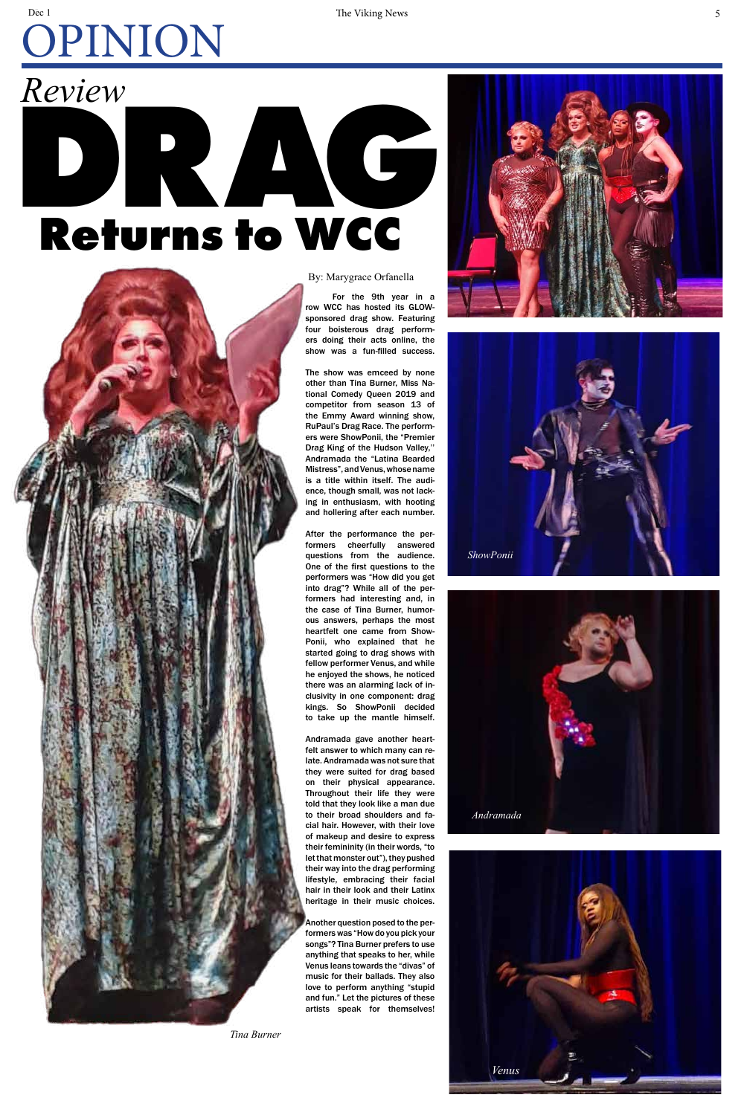For the 9th year in a row WCC has hosted its GLOWsponsored drag show. Featuring four boisterous drag performers doing their acts online, the show was a fun-filled success.

The show was emceed by none other than Tina Burner, Miss National Comedy Queen 2019 and competitor from season 13 of the Emmy Award winning show, RuPaul's Drag Race. The performers were ShowPonii, the "Premier Drag King of the Hudson Valley,'' Andramada the "Latina Bearded Mistress", and Venus, whose name is a title within itself. The audience, though small, was not lacking in enthusiasm, with hooting and hollering after each number.

After the performance the performers cheerfully answered questions from the audience. One of the first questions to the performers was "How did you get into drag"? While all of the performers had interesting and, in the case of Tina Burner, humorous answers, perhaps the most heartfelt one came from Show-Ponii, who explained that he started going to drag shows with fellow performer Venus, and while he enjoyed the shows, he noticed there was an alarming lack of inclusivity in one component: drag kings. So ShowPonii decided to take up the mantle himself.



## *Review* **DRAG Returns to WCC**



#### november 1 The Viking News 5 States 1 and 2018 1 and 2019 1 and 2019 1 and 2019 1 and 2019 1 and 2019 1 and 20 OPINION Dec 1

Andramada gave another heartfelt answer to which many can relate. Andramada was not sure that they were suited for drag based on their physical appearance. Throughout their life they were told that they look like a man due to their broad shoulders and facial hair. However, with their love of makeup and desire to express their femininity (in their words, "to let that monster out"), they pushed their way into the drag performing lifestyle, embracing their facial hair in their look and their Latinx heritage in their music choices.

Another question posed to the performers was "How do you pick your songs"? Tina Burner prefers to use anything that speaks to her, while Venus leans towards the "divas" of music for their ballads. They also love to perform anything "stupid and fun." Let the pictures of these artists speak for themselves!

#### By: Marygrace Orfanella







*Tina Burner*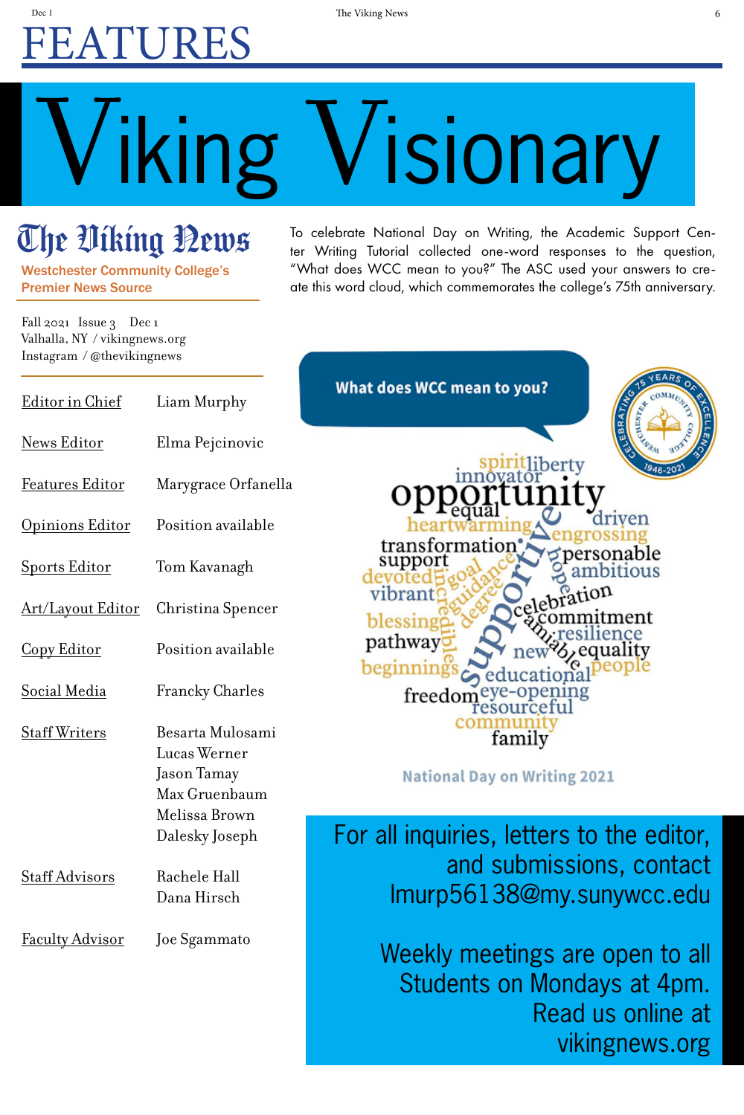## November 1 The Viking News 6 the Viking News 6 the Viking News 6 the Viking News 6 the Viking News 6 the Viking News 6 the Viking News 6 the Viking News 6 the Viking News 6 the Viking News 6 the Viking News 6 the Viking Ne FEATURES

To celebrate National Day on Writing, the Academic Support Center Writing Tutorial collected one-word responses to the question, "What does WCC mean to you?" The ASC used your answers to create this word cloud, which commemorates the college's 75th anniversary.



ducational ye-opening<br>sourceful family

on Writing 2021

letters to the editor, submissions, contact 38@my.sunywcc.edu

Fall 2021 Issue 3 Dec 1 Valhalla, NY / vikingnews.org Instagram / @thevikingnews

# Viking Visionary

## The Uiking Bews

etings are open to all Students on Mondays at 4pm. Read us online at vikingnews.org

| wnat does WCC mean      | Liam Murphy                      | Editor in Chief          |
|-------------------------|----------------------------------|--------------------------|
|                         | Elma Pejcinovic                  | <b>News Editor</b>       |
|                         | Marygrace Orfanella              | <b>Features Editor</b>   |
|                         | Position available               | Opinions Editor          |
| transformati<br>support | Tom Kavanagh                     | <b>Sports Editor</b>     |
| vibran<br>blessing      | Christina Spencer                | <b>Art/Layout Editor</b> |
| pathway                 | Position available               | Copy Editor              |
| freed                   | <b>Francky Charles</b>           | Social Media             |
|                         | Besarta Mulosami<br>Lucas Werner | <b>Staff Writers</b>     |
| <b>National Day</b>     | Jason Tamay<br>Max Gruenbaum     |                          |
| For all inquiries,      | Melissa Brown<br>Dalesky Joseph  |                          |
| and :<br>Imurp561       | Rachele Hall<br>Dana Hirsch      | <b>Staff Advisors</b>    |
| Weekly me               | Joe Sgammato                     | <u>Faculty Advisor</u>   |

Westchester Community College's Premier News Source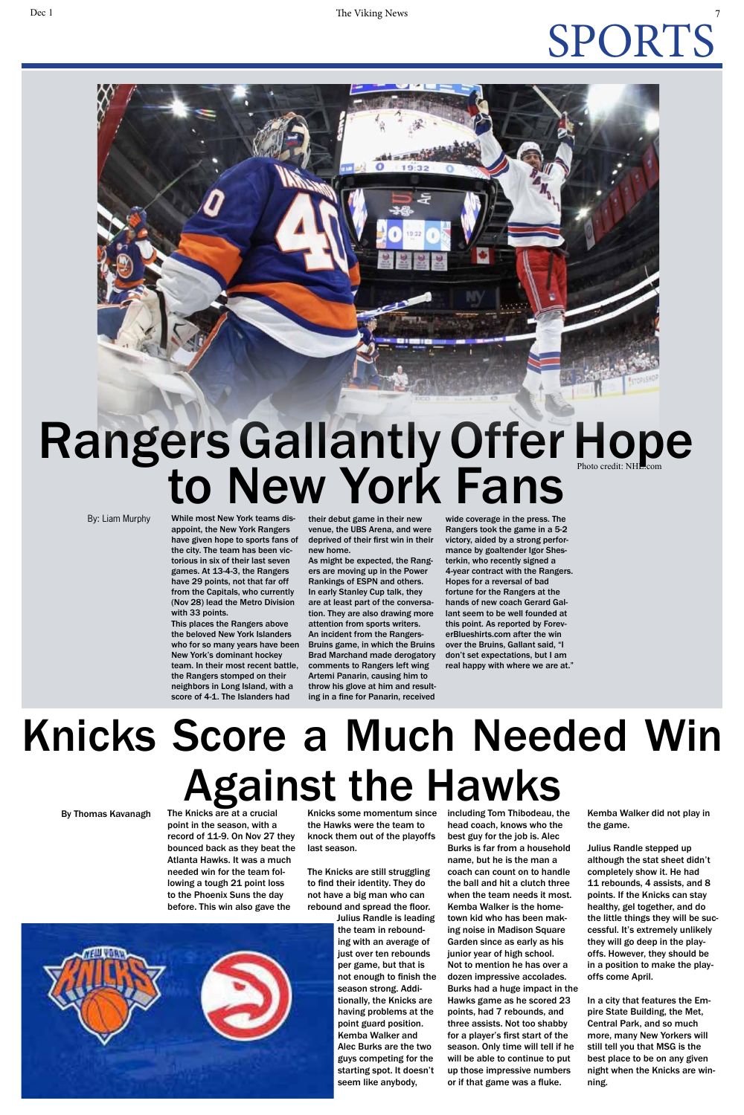### November 1 The Viking News 7 The Viking News 7 The Viking News 7  $\frac{1}{2}$ SPORTS

# Rangers Gallantly Offer Hope<br>to New York Fans

By: Liam Murphy

While most New York teams disappoint, the New York Rangers have given hope to sports fans of the city. The team has been victorious in six of their last seven games. At 13-4-3, the Rangers have 29 points, not that far off from the Capitals, who currently (Nov 28) lead the Metro Division with 33 points.

This places the Rangers above the beloved New York Islanders who for so many years have been New York's dominant hockey team. In their most recent battle, the Rangers stomped on their neighbors in Long Island, with a score of 4-1. The Islanders had

their debut game in their new venue, the UBS Arena, and were deprived of their first win in their new home.

As might be expected, the Rangers are moving up in the Power Rankings of ESPN and others. In early Stanley Cup talk, they are at least part of the conversation. They are also drawing more attention from sports writers. An incident from the Rangers-Bruins game, in which the Bruins Brad Marchand made derogatory comments to Rangers left wing Artemi Panarin, causing him to throw his glove at him and resulting in a fine for Panarin, received

wide coverage in the press. The Rangers took the game in a 5-2 victory, aided by a strong performance by goaltender Igor Shesterkin, who recently signed a 4-year contract with the Rangers. Hopes for a reversal of bad fortune for the Rangers at the hands of new coach Gerard Gallant seem to be well founded at this point. As reported by ForeverBlueshirts.com after the win over the Bruins, Gallant said, "I don't set expectations, but I am real happy with where we are at."

The Knicks are at a crucial point in the season, with a record of 11-9. On Nov 27 they bounced back as they beat the Atlanta Hawks. It was a much needed win for the team following a tough 21 point loss to the Phoenix Suns the day before. This win also gave the

Knicks some momentum since the Hawks were the team to knock them out of the playoffs last season.

The Knicks are still struggling to find their identity. They do not have a big man who can rebound and spread the floor.

> Julius Randle is leading the team in rebounding with an average of just over ten rebounds per game, but that is not enough to finish the season strong. Additionally, the Knicks are having problems at the point guard position. Kemba Walker and Alec Burks are the two guys competing for the starting spot. It doesn't seem like anybody,

including Tom Thibodeau, the head coach, knows who the best guy for the job is. Alec Burks is far from a household name, but he is the man a coach can count on to handle the ball and hit a clutch three when the team needs it most. Kemba Walker is the hometown kid who has been making noise in Madison Square Garden since as early as his junior year of high school. Not to mention he has over a dozen impressive accolades. Burks had a huge impact in the Hawks game as he scored 23 points, had 7 rebounds, and three assists. Not too shabby for a player's first start of the season. Only time will tell if he will be able to continue to put up those impressive numbers or if that game was a fluke.

Kemba Walker did not play in the game.

Julius Randle stepped up although the stat sheet didn't completely show it. He had 11 rebounds, 4 assists, and 8 points. If the Knicks can stay healthy, gel together, and do the little things they will be successful. It's extremely unlikely they will go deep in the playoffs. However, they should be in a position to make the playoffs come April.

In a city that features the Empire State Building, the Met, Central Park, and so much more, many New Yorkers will still tell you that MSG is the best place to be on any given night when the Knicks are winning.



## Knicks Score a Much Needed Win Against the Hawks

By Thomas Kavanagh